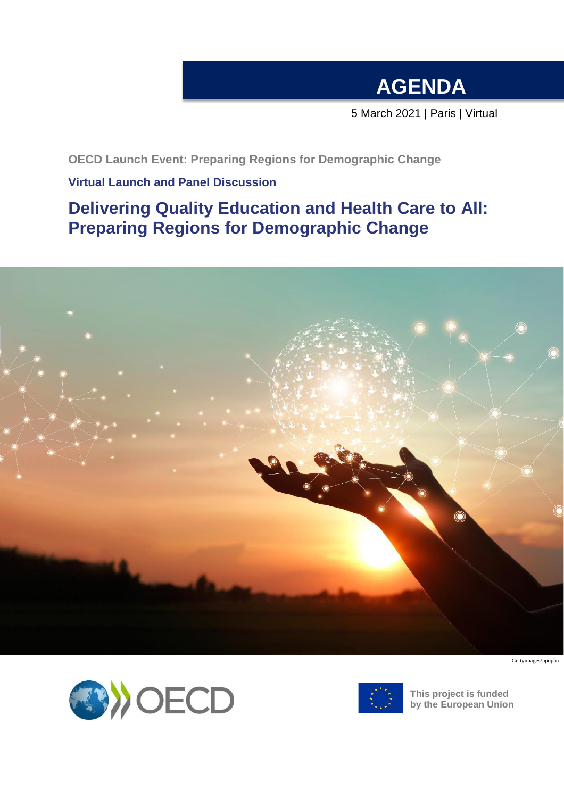## **AGENDA**

5 March 2021 | Paris | Virtual

**OECD Launch Event: Preparing Regions for Demographic Change**

### **Virtual Launch and Panel Discussion**

### **Delivering Quality Education and Health Care to All: Preparing Regions for Demographic Change**



Gettyimages/ ipopba





**This project is funded by the European Union**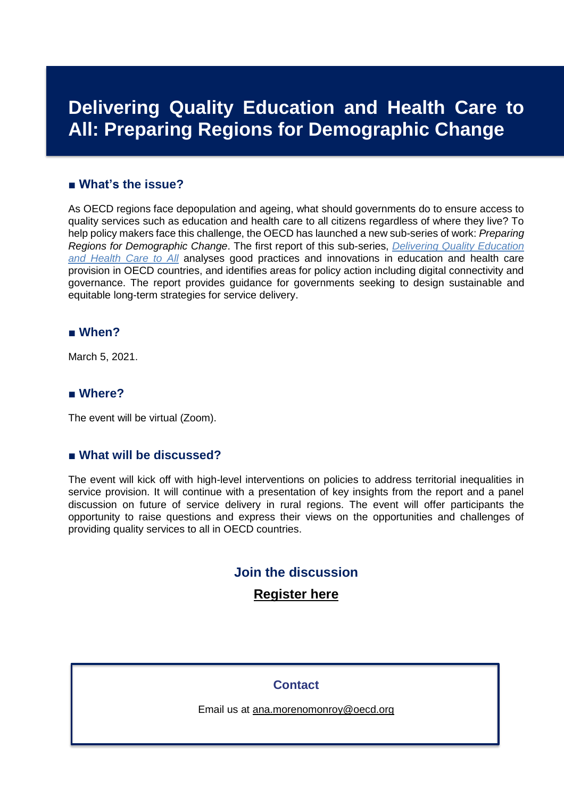## **Delivering Quality Education and Health Care to All: Preparing Regions for Demographic Change**

#### **■ What's the issue?**

As OECD regions face depopulation and ageing, what should governments do to ensure access to quality services such as education and health care to all citizens regardless of where they live? To help policy makers face this challenge, the OECD has launched a new sub-series of work: *Preparing Regions for Demographic Change*. The first report of this sub-series, *[Delivering Quality Education](https://www.oecd.org/regional/rural-development/delivering-quality-education-and-health-care-to-all-83025c02-en.htm)  [and Health Care to All](https://www.oecd.org/regional/rural-development/delivering-quality-education-and-health-care-to-all-83025c02-en.htm)* analyses good practices and innovations in education and health care provision in OECD countries, and identifies areas for policy action including digital connectivity and governance. The report provides guidance for governments seeking to design sustainable and equitable long-term strategies for service delivery.

#### **■ When?**

March 5, 2021.

#### **■ Where?**

The event will be virtual (Zoom).

#### **■ What will be discussed?**

The event will kick off with high-level interventions on policies to address territorial inequalities in service provision. It will continue with a presentation of key insights from the report and a panel discussion on future of service delivery in rural regions. The event will offer participants the opportunity to raise questions and express their views on the opportunities and challenges of providing quality services to all in OECD countries.

#### **Join the discussion**

#### **[Register here](https://meetoecd1.zoom.us/meeting/register/tJUlcOivrjsiH9NrHK6SOyWXvLIH7BVGzfua)**

#### **Contact**

Email us at [ana.morenomonroy@oecd.org](mailto:ana.morenomonroy@oecd.org)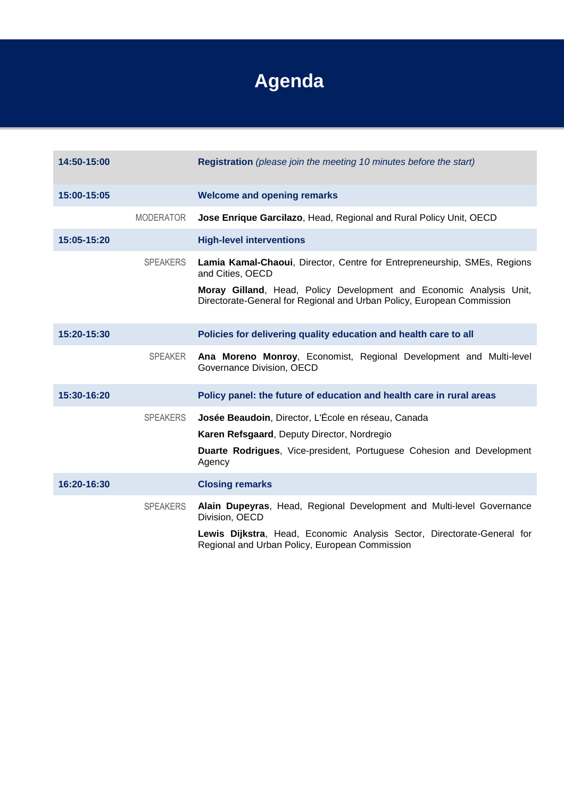# **Agenda**

| 14:50-15:00 |                  | Registration (please join the meeting 10 minutes before the start)                                                                            |
|-------------|------------------|-----------------------------------------------------------------------------------------------------------------------------------------------|
| 15:00-15:05 |                  | <b>Welcome and opening remarks</b>                                                                                                            |
|             | <b>MODERATOR</b> | Jose Enrique Garcilazo, Head, Regional and Rural Policy Unit, OECD                                                                            |
| 15:05-15:20 |                  | <b>High-level interventions</b>                                                                                                               |
|             | <b>SPEAKERS</b>  | Lamia Kamal-Chaoui, Director, Centre for Entrepreneurship, SMEs, Regions<br>and Cities, OECD                                                  |
|             |                  | Moray Gilland, Head, Policy Development and Economic Analysis Unit,<br>Directorate-General for Regional and Urban Policy, European Commission |
| 15:20-15:30 |                  | Policies for delivering quality education and health care to all                                                                              |
|             | <b>SPEAKER</b>   | Ana Moreno Monroy, Economist, Regional Development and Multi-level<br>Governance Division, OECD                                               |
| 15:30-16:20 |                  | Policy panel: the future of education and health care in rural areas                                                                          |
|             | <b>SPEAKERS</b>  | Josée Beaudoin, Director, L'École en réseau, Canada                                                                                           |
|             |                  | Karen Refsgaard, Deputy Director, Nordregio                                                                                                   |
|             |                  | <b>Duarte Rodrigues, Vice-president, Portuguese Cohesion and Development</b><br>Agency                                                        |
| 16:20-16:30 |                  | <b>Closing remarks</b>                                                                                                                        |
|             | <b>SPEAKERS</b>  | Alain Dupeyras, Head, Regional Development and Multi-level Governance<br>Division, OECD                                                       |
|             |                  | Lewis Dijkstra, Head, Economic Analysis Sector, Directorate-General for<br>Regional and Urban Policy, European Commission                     |